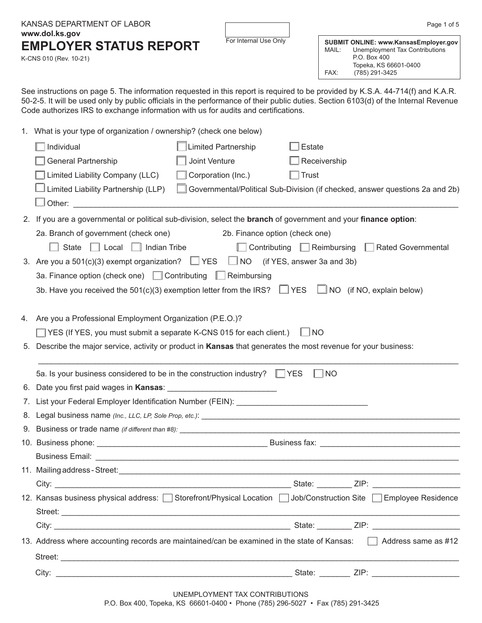|    | KANSAS DEPARTMENT OF LABOR                                                                                                                                                                                                                                                                                                                                  |                                |                    |               | Page 1 of 5                                                                                                                        |  |
|----|-------------------------------------------------------------------------------------------------------------------------------------------------------------------------------------------------------------------------------------------------------------------------------------------------------------------------------------------------------------|--------------------------------|--------------------|---------------|------------------------------------------------------------------------------------------------------------------------------------|--|
|    | www.dol.ks.gov<br><b>EMPLOYER STATUS REPORT</b><br>K-CNS 010 (Rev. 10-21)                                                                                                                                                                                                                                                                                   | For Internal Use Only          |                    | MAIL:<br>FAX: | SUBMIT ONLINE: www.KansasEmployer.gov<br>Unemployment Tax Contributions<br>P.O. Box 400<br>Topeka, KS 66601-0400<br>(785) 291-3425 |  |
|    | See instructions on page 5. The information requested in this report is required to be provided by K.S.A. 44-714(f) and K.A.R.<br>50-2-5. It will be used only by public officials in the performance of their public duties. Section 6103(d) of the Internal Revenue<br>Code authorizes IRS to exchange information with us for audits and certifications. |                                |                    |               |                                                                                                                                    |  |
|    | 1. What is your type of organization / ownership? (check one below)                                                                                                                                                                                                                                                                                         |                                |                    |               |                                                                                                                                    |  |
|    | Individual<br><b>Limited Partnership</b>                                                                                                                                                                                                                                                                                                                    |                                | <b>Estate</b>      |               |                                                                                                                                    |  |
|    | Joint Venture<br><b>General Partnership</b>                                                                                                                                                                                                                                                                                                                 |                                | Receivership       |               |                                                                                                                                    |  |
|    | Limited Liability Company (LLC)<br>Corporation (Inc.)                                                                                                                                                                                                                                                                                                       |                                | <b>Trust</b>       |               |                                                                                                                                    |  |
|    | Limited Liability Partnership (LLP)<br>Other:                                                                                                                                                                                                                                                                                                               |                                |                    |               | Governmental/Political Sub-Division (if checked, answer questions 2a and 2b)                                                       |  |
|    | 2. If you are a governmental or political sub-division, select the <b>branch</b> of government and your <b>finance option</b> :                                                                                                                                                                                                                             |                                |                    |               |                                                                                                                                    |  |
|    | 2a. Branch of government (check one)                                                                                                                                                                                                                                                                                                                        | 2b. Finance option (check one) |                    |               |                                                                                                                                    |  |
|    | State $\Box$ Local $\Box$ Indian Tribe                                                                                                                                                                                                                                                                                                                      | Contributing                   | $\Box$ Reimbursing |               | <b>Rated Governmental</b>                                                                                                          |  |
|    | 3. Are you a $501(c)(3)$ exempt organization? $\Box$ YES<br>$\Box$ NO<br>(if YES, answer 3a and 3b)                                                                                                                                                                                                                                                         |                                |                    |               |                                                                                                                                    |  |
|    | 3a. Finance option (check one) □ Contributing<br>Reimbursing<br>$\mathbb{L}$                                                                                                                                                                                                                                                                                |                                |                    |               |                                                                                                                                    |  |
|    | 3b. Have you received the 501(c)(3) exemption letter from the IRS? $\Box$ YES                                                                                                                                                                                                                                                                               |                                |                    |               | $\Box$ NO (if NO, explain below)                                                                                                   |  |
| 4. | Are you a Professional Employment Organization (P.E.O.)?                                                                                                                                                                                                                                                                                                    |                                |                    |               |                                                                                                                                    |  |
|    | YES (If YES, you must submit a separate K-CNS 015 for each client.)                                                                                                                                                                                                                                                                                         |                                | <b>NO</b>          |               |                                                                                                                                    |  |
| 5. | Describe the major service, activity or product in Kansas that generates the most revenue for your business:                                                                                                                                                                                                                                                |                                |                    |               |                                                                                                                                    |  |
|    | 5a. Is your business considered to be in the construction industry? $\Box$ YES                                                                                                                                                                                                                                                                              |                                |                    | <b>NO</b>     |                                                                                                                                    |  |
|    |                                                                                                                                                                                                                                                                                                                                                             |                                |                    |               |                                                                                                                                    |  |
|    |                                                                                                                                                                                                                                                                                                                                                             |                                |                    |               |                                                                                                                                    |  |
|    |                                                                                                                                                                                                                                                                                                                                                             |                                |                    |               |                                                                                                                                    |  |
|    |                                                                                                                                                                                                                                                                                                                                                             |                                |                    |               |                                                                                                                                    |  |
|    |                                                                                                                                                                                                                                                                                                                                                             |                                |                    |               |                                                                                                                                    |  |
|    |                                                                                                                                                                                                                                                                                                                                                             |                                |                    |               |                                                                                                                                    |  |
|    |                                                                                                                                                                                                                                                                                                                                                             |                                |                    |               |                                                                                                                                    |  |
|    |                                                                                                                                                                                                                                                                                                                                                             |                                |                    |               |                                                                                                                                    |  |
|    | 12. Kansas business physical address: Storefront/Physical Location Sub/Construction Site SEmployee Residence                                                                                                                                                                                                                                                |                                |                    |               |                                                                                                                                    |  |
|    |                                                                                                                                                                                                                                                                                                                                                             |                                |                    |               |                                                                                                                                    |  |
|    |                                                                                                                                                                                                                                                                                                                                                             |                                |                    |               |                                                                                                                                    |  |
|    | 13. Address where accounting records are maintained/can be examined in the state of Kansas: Address same as #12                                                                                                                                                                                                                                             |                                |                    |               |                                                                                                                                    |  |
|    |                                                                                                                                                                                                                                                                                                                                                             |                                |                    |               |                                                                                                                                    |  |
|    |                                                                                                                                                                                                                                                                                                                                                             |                                |                    |               |                                                                                                                                    |  |
|    |                                                                                                                                                                                                                                                                                                                                                             | UNEMPLOYMENT TAX CONTRIBUTIONS |                    |               |                                                                                                                                    |  |

P.O. Box 400, Topeka, KS 66601-0400 • Phone (785) 296-5027 • Fax (785) 291-3425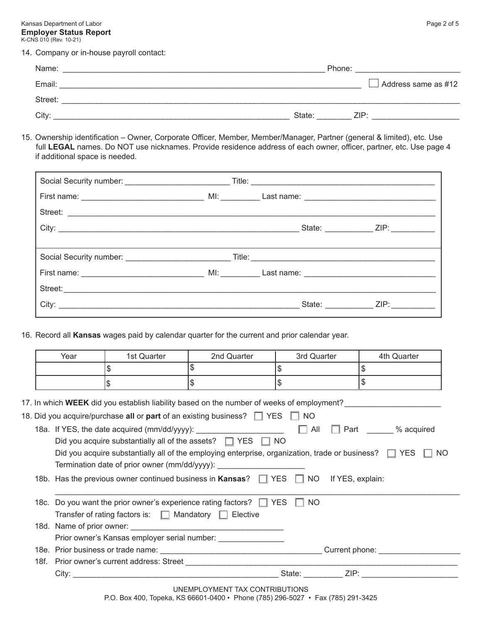Kansas Department of Labor **Page 2 of 5** and the United States of the United States of the Page 2 of 5 **Employer Status Report** K-CNS 010 (Rev. 10-21)

14. Company or in-house payroll contact:

| Name:             |        | Phone: |                            |
|-------------------|--------|--------|----------------------------|
| Email:            |        |        | $\Box$ Address same as #12 |
| Street:           |        |        |                            |
| City <sup>-</sup> | State: | ZIP:   |                            |

15. Ownership identification – Owner, Corporate Officer, Member, Member/Manager, Partner (general & limited), etc. Use full **LEGAL** names. Do NOT use nicknames. Provide residence address of each owner, officer, partner, etc. Use page 4 if additional space is needed.

| Street: |  |                                     |
|---------|--|-------------------------------------|
|         |  | _State: _____________ZIP: _________ |
|         |  |                                     |
|         |  |                                     |
|         |  |                                     |
|         |  | State: _____________ ZIP: _________ |

16. Record all **Kansas** wages paid by calendar quarter for the current and prior calendar year.

| Year                                                                                                                     | 1st Quarter                                                     | 2nd Quarter                                                                                     | 3rd Quarter | 4th Quarter                                                                                                         |  |  |
|--------------------------------------------------------------------------------------------------------------------------|-----------------------------------------------------------------|-------------------------------------------------------------------------------------------------|-------------|---------------------------------------------------------------------------------------------------------------------|--|--|
|                                                                                                                          | \$                                                              | \$                                                                                              | \$          | \$                                                                                                                  |  |  |
|                                                                                                                          | \$                                                              | \$                                                                                              | \$          | \$                                                                                                                  |  |  |
|                                                                                                                          |                                                                 |                                                                                                 |             |                                                                                                                     |  |  |
|                                                                                                                          |                                                                 |                                                                                                 |             | 17. In which <b>WEEK</b> did you establish liability based on the number of weeks of employment?___________________ |  |  |
|                                                                                                                          |                                                                 | 18. Did you acquire/purchase all or part of an existing business? $\Box$ YES $\Box$ NO          |             |                                                                                                                     |  |  |
|                                                                                                                          |                                                                 |                                                                                                 |             |                                                                                                                     |  |  |
|                                                                                                                          |                                                                 | Did you acquire substantially all of the assets? $\Box$ YES $\Box$ NO                           |             |                                                                                                                     |  |  |
| Did you acquire substantially all of the employing enterprise, organization, trade or business? $\Box$ YES $\Box$<br>NO. |                                                                 |                                                                                                 |             |                                                                                                                     |  |  |
|                                                                                                                          |                                                                 |                                                                                                 |             |                                                                                                                     |  |  |
|                                                                                                                          |                                                                 |                                                                                                 |             |                                                                                                                     |  |  |
|                                                                                                                          |                                                                 | 18b. Has the previous owner continued business in Kansas? $\Box$ YES $\Box$ NO If YES, explain: |             |                                                                                                                     |  |  |
|                                                                                                                          |                                                                 |                                                                                                 |             |                                                                                                                     |  |  |
|                                                                                                                          |                                                                 | 18c. Do you want the prior owner's experience rating factors? $\Box$ YES $\Box$ NO              |             |                                                                                                                     |  |  |
|                                                                                                                          | Transfer of rating factors is: $\Box$ Mandatory $\Box$ Elective |                                                                                                 |             |                                                                                                                     |  |  |
|                                                                                                                          |                                                                 |                                                                                                 |             |                                                                                                                     |  |  |
|                                                                                                                          |                                                                 | Prior owner's Kansas employer serial number: __________________                                 |             |                                                                                                                     |  |  |
|                                                                                                                          |                                                                 |                                                                                                 |             |                                                                                                                     |  |  |
|                                                                                                                          |                                                                 |                                                                                                 |             |                                                                                                                     |  |  |

P.O. Box 400, Topeka, KS 66601-0400 • Phone (785) 296-5027 • Fax (785) 291-3425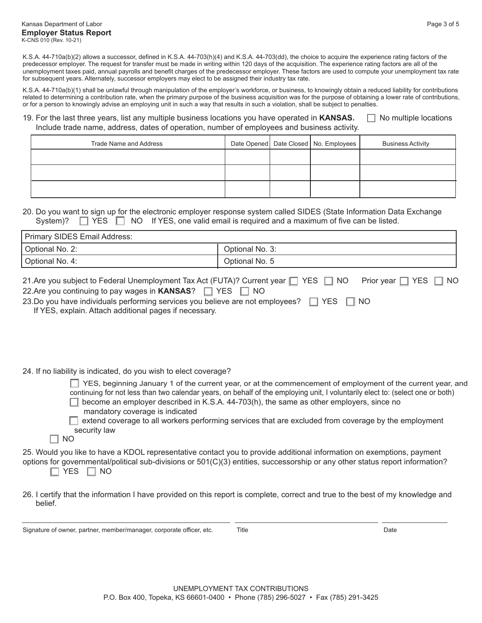K.S.A. 44-710a(b)(2) allows a successor, defined in K.S.A. 44-703(h)(4) and K.S.A. 44-703(dd), the choice to acquire the experience rating factors of the predecessor employer. The request for transfer must be made in writing within 120 days of the acquisition. The experience rating factors are all of the unemployment taxes paid, annual payrolls and benefit charges of the predecessor employer. These factors are used to compute your unemployment tax rate for subsequent years. Alternately, successor employers may elect to be assigned their industry tax rate.

K.S.A. 44-710a(b)(1) shall be unlawful through manipulation of the employer's workforce, or business, to knowingly obtain a reduced liability for contributions related to determining a contribution rate, when the primary purpose of the business acquisition was for the purpose of obtaining a lower rate of contributions, or for a person to knowingly advise an employing unit in such a way that results in such a violation, shall be subject to penalties.

## 19. For the last three years, list any multiple business locations you have operated in **KANSAS.**  $\Box$  No multiple locations Include trade name, address, dates of operation, number of employees and business activity.

| Trade Name and Address |  | Date Opened   Date Closed   No. Employees | <b>Business Activity</b> |
|------------------------|--|-------------------------------------------|--------------------------|
|                        |  |                                           |                          |
|                        |  |                                           |                          |
|                        |  |                                           |                          |

## 20. Do you want to sign up for the electronic employer response system called SIDES (State Information Data Exchange System)?  $\Box$  YES  $\Box$  NO If YES, one valid email is required and a maximum of five can be listed.

| Primary SIDES Email Address: |                 |  |
|------------------------------|-----------------|--|
| Optional No. 2:              | Optional No. 3: |  |
| Optional No. 4:              | Optional No. 5  |  |
|                              |                 |  |

| 21. Are you subject to Federal Unemployment Tax Act (FUTA)? Current year □ YES □ NO Prior year □ YES □ NO |  |
|-----------------------------------------------------------------------------------------------------------|--|
| 22. Are you continuing to pay wages in $KANSAS?$ $\Box$ YES $\Box$ NO                                     |  |
| 23. Do you have individuals performing services you believe are not employees? $\Box$ YES $\Box$ NO       |  |

If YES, explain. Attach additional pages if necessary.

24. If no liability is indicated, do you wish to elect coverage?

| $\Box$ YES, beginning January 1 of the current year, or at the commencement of employment of the current year, and<br>continuing for not less than two calendar years, on behalf of the employing unit, I voluntarily elect to: (select one or both) |  |
|------------------------------------------------------------------------------------------------------------------------------------------------------------------------------------------------------------------------------------------------------|--|
| $\Box$ become an employer described in K.S.A. 44-703(h), the same as other employers, since no                                                                                                                                                       |  |
| mandatory coverage is indicated<br>$\Box$ extend coverage to all workers performing services that are excluded from coverage by the employment                                                                                                       |  |
| security law                                                                                                                                                                                                                                         |  |
| NO.                                                                                                                                                                                                                                                  |  |

25. Would you like to have a KDOL representative contact you to provide additional information on exemptions, payment options for governmental/political sub-divisions or 501(C)(3) entities, successorship or any other status report information?  $\Box$  YES  $\Box$  NO

26. I certify that the information I have provided on this report is complete, correct and true to the best of my knowledge and belief.

Signature of owner, partner, member/manager, corporate officer, etc. Title Date

 $\Box$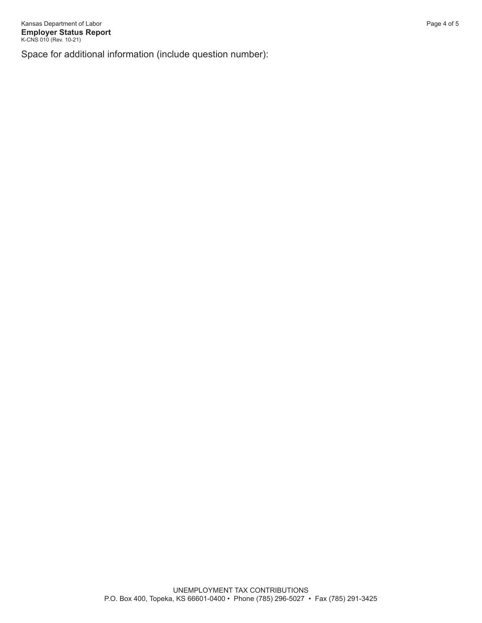Space for additional information (include question number):